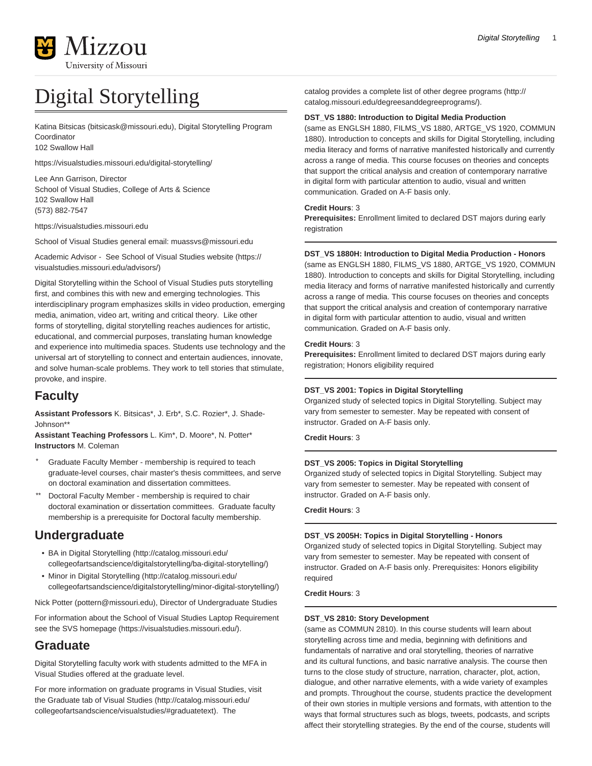

# Digital Storytelling

[Katina Bitsicas](mailto:bitsicask@missouri.edu) [\(bitsicask@missouri.edu](bitsicask@missouri.edu)), Digital Storytelling Program Coordinator 102 Swallow Hall

<https://visualstudies.missouri.edu/digital-storytelling/>

Lee Ann Garrison, Director School of Visual Studies, College of Arts & Science 102 Swallow Hall (573) 882-7547

<https://visualstudies.missouri.edu>

School of Visual Studies general email: muassvs@missouri.edu

Academic Advisor - See [School of Visual Studies website](https://visualstudies.missouri.edu/advisors/) [\(https://](https://visualstudies.missouri.edu/advisors/) [visualstudies.missouri.edu/advisors/\)](https://visualstudies.missouri.edu/advisors/)

Digital Storytelling within the School of Visual Studies puts storytelling first, and combines this with new and emerging technologies. This interdisciplinary program emphasizes skills in video production, emerging media, animation, video art, writing and critical theory. Like other forms of storytelling, digital storytelling reaches audiences for artistic, educational, and commercial purposes, translating human knowledge and experience into multimedia spaces. Students use technology and the universal art of storytelling to connect and entertain audiences, innovate, and solve human-scale problems. They work to tell stories that stimulate, provoke, and inspire.

# **Faculty**

**Assistant Professors** K. Bitsicas\*, J. Erb\*, S.C. Rozier\*, J. Shade-Johnson\*\*

**Assistant Teaching Professors** L. Kim\*, D. Moore\*, N. Potter\* **Instructors** M. Coleman

- Graduate Faculty Member membership is required to teach graduate-level courses, chair master's thesis committees, and serve on doctoral examination and dissertation committees.
- Doctoral Faculty Member membership is required to chair doctoral examination or dissertation committees. Graduate faculty membership is a prerequisite for Doctoral faculty membership.

# **Undergraduate**

- [BA in Digital Storytelling](http://catalog.missouri.edu/collegeofartsandscience/digitalstorytelling/ba-digital-storytelling/) [\(http://catalog.missouri.edu/](http://catalog.missouri.edu/collegeofartsandscience/digitalstorytelling/ba-digital-storytelling/) [collegeofartsandscience/digitalstorytelling/ba-digital-storytelling/\)](http://catalog.missouri.edu/collegeofartsandscience/digitalstorytelling/ba-digital-storytelling/)
- [Minor in Digital Storytelling](http://catalog.missouri.edu/collegeofartsandscience/digitalstorytelling/minor-digital-storytelling/) ([http://catalog.missouri.edu/](http://catalog.missouri.edu/collegeofartsandscience/digitalstorytelling/minor-digital-storytelling/) [collegeofartsandscience/digitalstorytelling/minor-digital-storytelling/](http://catalog.missouri.edu/collegeofartsandscience/digitalstorytelling/minor-digital-storytelling/))

[Nick Potter](mailto:pottern@missouri.edu) [\(pottern@missouri.edu](pottern@missouri.edu)), Director of Undergraduate Studies

For information about the School of Visual Studies Laptop Requirement see the [SVS homepage](https://visualstudies.missouri.edu/) [\(https://visualstudies.missouri.edu/\)](https://visualstudies.missouri.edu/).

# **Graduate**

Digital Storytelling faculty work with students admitted to the MFA in Visual Studies offered at the graduate level.

For more information on graduate programs in Visual Studies, visit the [Graduate tab of Visual Studies](http://catalog.missouri.edu/collegeofartsandscience/visualstudies/#graduatetext) ([http://catalog.missouri.edu/](http://catalog.missouri.edu/collegeofartsandscience/visualstudies/#graduatetext) [collegeofartsandscience/visualstudies/#graduatetext\)](http://catalog.missouri.edu/collegeofartsandscience/visualstudies/#graduatetext). The

catalog provides a complete list of other [degree programs](http://catalog.missouri.edu/degreesanddegreeprograms/) ([http://](http://catalog.missouri.edu/degreesanddegreeprograms/) [catalog.missouri.edu/degreesanddegreeprograms/\)](http://catalog.missouri.edu/degreesanddegreeprograms/).

# **DST\_VS 1880: Introduction to Digital Media Production**

(same as ENGLSH 1880, FILMS\_VS 1880, ARTGE\_VS 1920, COMMUN 1880). Introduction to concepts and skills for Digital Storytelling, including media literacy and forms of narrative manifested historically and currently across a range of media. This course focuses on theories and concepts that support the critical analysis and creation of contemporary narrative in digital form with particular attention to audio, visual and written communication. Graded on A-F basis only.

# **Credit Hours**: 3

**Prerequisites:** Enrollment limited to declared DST majors during early registration

# **DST\_VS 1880H: Introduction to Digital Media Production - Honors**

(same as ENGLSH 1880, FILMS\_VS 1880, ARTGE\_VS 1920, COMMUN 1880). Introduction to concepts and skills for Digital Storytelling, including media literacy and forms of narrative manifested historically and currently across a range of media. This course focuses on theories and concepts that support the critical analysis and creation of contemporary narrative in digital form with particular attention to audio, visual and written communication. Graded on A-F basis only.

# **Credit Hours**: 3

**Prerequisites:** Enrollment limited to declared DST majors during early registration; Honors eligibility required

# **DST\_VS 2001: Topics in Digital Storytelling**

Organized study of selected topics in Digital Storytelling. Subject may vary from semester to semester. May be repeated with consent of instructor. Graded on A-F basis only.

**Credit Hours**: 3

# **DST\_VS 2005: Topics in Digital Storytelling**

Organized study of selected topics in Digital Storytelling. Subject may vary from semester to semester. May be repeated with consent of instructor. Graded on A-F basis only.

# **Credit Hours**: 3

# **DST\_VS 2005H: Topics in Digital Storytelling - Honors**

Organized study of selected topics in Digital Storytelling. Subject may vary from semester to semester. May be repeated with consent of instructor. Graded on A-F basis only. Prerequisites: Honors eligibility required

# **Credit Hours**: 3

# **DST\_VS 2810: Story Development**

(same as COMMUN 2810). In this course students will learn about storytelling across time and media, beginning with definitions and fundamentals of narrative and oral storytelling, theories of narrative and its cultural functions, and basic narrative analysis. The course then turns to the close study of structure, narration, character, plot, action, dialogue, and other narrative elements, with a wide variety of examples and prompts. Throughout the course, students practice the development of their own stories in multiple versions and formats, with attention to the ways that formal structures such as blogs, tweets, podcasts, and scripts affect their storytelling strategies. By the end of the course, students will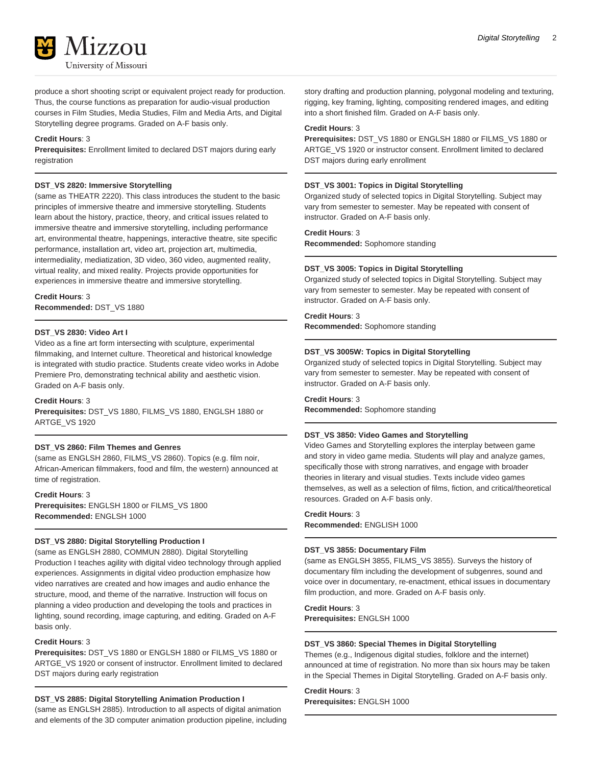

produce a short shooting script or equivalent project ready for production. Thus, the course functions as preparation for audio-visual production courses in Film Studies, Media Studies, Film and Media Arts, and Digital Storytelling degree programs. Graded on A-F basis only.

### **Credit Hours**: 3

**Prerequisites:** Enrollment limited to declared DST majors during early registration

### **DST\_VS 2820: Immersive Storytelling**

(same as THEATR 2220). This class introduces the student to the basic principles of immersive theatre and immersive storytelling. Students learn about the history, practice, theory, and critical issues related to immersive theatre and immersive storytelling, including performance art, environmental theatre, happenings, interactive theatre, site specific performance, installation art, video art, projection art, multimedia, intermediality, mediatization, 3D video, 360 video, augmented reality, virtual reality, and mixed reality. Projects provide opportunities for experiences in immersive theatre and immersive storytelling.

# **Credit Hours**: 3

**Recommended:** DST\_VS 1880

# **DST\_VS 2830: Video Art I**

Video as a fine art form intersecting with sculpture, experimental filmmaking, and Internet culture. Theoretical and historical knowledge is integrated with studio practice. Students create video works in Adobe Premiere Pro, demonstrating technical ability and aesthetic vision. Graded on A-F basis only.

### **Credit Hours**: 3

**Prerequisites:** DST\_VS 1880, FILMS\_VS 1880, ENGLSH 1880 or ARTGE\_VS 1920

# **DST\_VS 2860: Film Themes and Genres**

(same as ENGLSH 2860, FILMS\_VS 2860). Topics (e.g. film noir, African-American filmmakers, food and film, the western) announced at time of registration.

**Credit Hours**: 3 **Prerequisites:** ENGLSH 1800 or FILMS\_VS 1800 **Recommended:** ENGLSH 1000

# **DST\_VS 2880: Digital Storytelling Production I**

(same as ENGLSH 2880, COMMUN 2880). Digital Storytelling Production I teaches agility with digital video technology through applied experiences. Assignments in digital video production emphasize how video narratives are created and how images and audio enhance the structure, mood, and theme of the narrative. Instruction will focus on planning a video production and developing the tools and practices in lighting, sound recording, image capturing, and editing. Graded on A-F basis only.

### **Credit Hours**: 3

**Prerequisites:** DST\_VS 1880 or ENGLSH 1880 or FILMS\_VS 1880 or ARTGE\_VS 1920 or consent of instructor. Enrollment limited to declared DST majors during early registration

# **DST\_VS 2885: Digital Storytelling Animation Production I**

(same as ENGLSH 2885). Introduction to all aspects of digital animation and elements of the 3D computer animation production pipeline, including story drafting and production planning, polygonal modeling and texturing, rigging, key framing, lighting, compositing rendered images, and editing into a short finished film. Graded on A-F basis only.

### **Credit Hours**: 3

**Prerequisites:** DST\_VS 1880 or ENGLSH 1880 or FILMS\_VS 1880 or ARTGE\_VS 1920 or instructor consent. Enrollment limited to declared DST majors during early enrollment

### **DST\_VS 3001: Topics in Digital Storytelling**

Organized study of selected topics in Digital Storytelling. Subject may vary from semester to semester. May be repeated with consent of instructor. Graded on A-F basis only.

# **Credit Hours**: 3

**Recommended:** Sophomore standing

### **DST\_VS 3005: Topics in Digital Storytelling**

Organized study of selected topics in Digital Storytelling. Subject may vary from semester to semester. May be repeated with consent of instructor. Graded on A-F basis only.

### **Credit Hours**: 3

**Recommended:** Sophomore standing

### **DST\_VS 3005W: Topics in Digital Storytelling**

Organized study of selected topics in Digital Storytelling. Subject may vary from semester to semester. May be repeated with consent of instructor. Graded on A-F basis only.

# **Credit Hours**: 3

**Recommended:** Sophomore standing

### **DST\_VS 3850: Video Games and Storytelling**

Video Games and Storytelling explores the interplay between game and story in video game media. Students will play and analyze games, specifically those with strong narratives, and engage with broader theories in literary and visual studies. Texts include video games themselves, as well as a selection of films, fiction, and critical/theoretical resources. Graded on A-F basis only.

# **Credit Hours**: 3 **Recommended:** ENGLISH 1000

### **DST\_VS 3855: Documentary Film**

(same as ENGLSH 3855, FILMS\_VS 3855). Surveys the history of documentary film including the development of subgenres, sound and voice over in documentary, re-enactment, ethical issues in documentary film production, and more. Graded on A-F basis only.

# **Credit Hours**: 3

**Prerequisites:** ENGLSH 1000

### **DST\_VS 3860: Special Themes in Digital Storytelling**

Themes (e.g., Indigenous digital studies, folklore and the internet) announced at time of registration. No more than six hours may be taken in the Special Themes in Digital Storytelling. Graded on A-F basis only.

# **Credit Hours**: 3

**Prerequisites:** ENGLSH 1000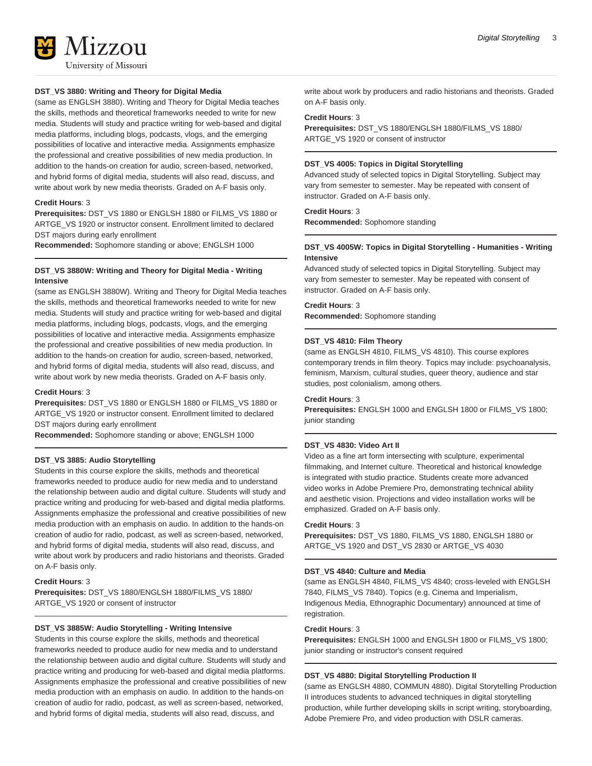

# **DST\_VS 3880: Writing and Theory for Digital Media**

(same as ENGLSH 3880). Writing and Theory for Digital Media teaches the skills, methods and theoretical frameworks needed to write for new media. Students will study and practice writing for web-based and digital media platforms, including blogs, podcasts, vlogs, and the emerging possibilities of locative and interactive media. Assignments emphasize the professional and creative possibilities of new media production. In addition to the hands-on creation for audio, screen-based, networked, and hybrid forms of digital media, students will also read, discuss, and write about work by new media theorists. Graded on A-F basis only.

### **Credit Hours**: 3

**Prerequisites:** DST\_VS 1880 or ENGLSH 1880 or FILMS\_VS 1880 or ARTGE\_VS 1920 or instructor consent. Enrollment limited to declared DST majors during early enrollment

**Recommended:** Sophomore standing or above; ENGLSH 1000

# **DST\_VS 3880W: Writing and Theory for Digital Media - Writing Intensive**

(same as ENGLSH 3880W). Writing and Theory for Digital Media teaches the skills, methods and theoretical frameworks needed to write for new media. Students will study and practice writing for web-based and digital media platforms, including blogs, podcasts, vlogs, and the emerging possibilities of locative and interactive media. Assignments emphasize the professional and creative possibilities of new media production. In addition to the hands-on creation for audio, screen-based, networked, and hybrid forms of digital media, students will also read, discuss, and write about work by new media theorists. Graded on A-F basis only.

### **Credit Hours**: 3

**Prerequisites:** DST\_VS 1880 or ENGLSH 1880 or FILMS\_VS 1880 or ARTGE\_VS 1920 or instructor consent. Enrollment limited to declared DST majors during early enrollment

**Recommended:** Sophomore standing or above; ENGLSH 1000

### **DST\_VS 3885: Audio Storytelling**

Students in this course explore the skills, methods and theoretical frameworks needed to produce audio for new media and to understand the relationship between audio and digital culture. Students will study and practice writing and producing for web-based and digital media platforms. Assignments emphasize the professional and creative possibilities of new media production with an emphasis on audio. In addition to the hands-on creation of audio for radio, podcast, as well as screen-based, networked, and hybrid forms of digital media, students will also read, discuss, and write about work by producers and radio historians and theorists. Graded on A-F basis only.

### **Credit Hours**: 3

**Prerequisites:** DST\_VS 1880/ENGLSH 1880/FILMS\_VS 1880/ ARTGE\_VS 1920 or consent of instructor

### **DST\_VS 3885W: Audio Storytelling - Writing Intensive**

Students in this course explore the skills, methods and theoretical frameworks needed to produce audio for new media and to understand the relationship between audio and digital culture. Students will study and practice writing and producing for web-based and digital media platforms. Assignments emphasize the professional and creative possibilities of new media production with an emphasis on audio. In addition to the hands-on creation of audio for radio, podcast, as well as screen-based, networked, and hybrid forms of digital media, students will also read, discuss, and

write about work by producers and radio historians and theorists. Graded on A-F basis only.

#### **Credit Hours**: 3

**Prerequisites:** DST\_VS 1880/ENGLSH 1880/FILMS\_VS 1880/ ARTGE\_VS 1920 or consent of instructor

# **DST\_VS 4005: Topics in Digital Storytelling**

Advanced study of selected topics in Digital Storytelling. Subject may vary from semester to semester. May be repeated with consent of instructor. Graded on A-F basis only.

### **Credit Hours**: 3

**Recommended:** Sophomore standing

### **DST\_VS 4005W: Topics in Digital Storytelling - Humanities - Writing Intensive**

Advanced study of selected topics in Digital Storytelling. Subject may vary from semester to semester. May be repeated with consent of instructor. Graded on A-F basis only.

#### **Credit Hours**: 3

**Recommended:** Sophomore standing

### **DST\_VS 4810: Film Theory**

(same as ENGLSH 4810, FILMS\_VS 4810). This course explores contemporary trends in film theory. Topics may include: psychoanalysis, feminism, Marxism, cultural studies, queer theory, audience and star studies, post colonialism, among others.

### **Credit Hours**: 3

**Prerequisites:** ENGLSH 1000 and ENGLSH 1800 or FILMS\_VS 1800; junior standing

### **DST\_VS 4830: Video Art II**

Video as a fine art form intersecting with sculpture, experimental filmmaking, and Internet culture. Theoretical and historical knowledge is integrated with studio practice. Students create more advanced video works in Adobe Premiere Pro, demonstrating technical ability and aesthetic vision. Projections and video installation works will be emphasized. Graded on A-F basis only.

### **Credit Hours**: 3

**Prerequisites:** DST\_VS 1880, FILMS\_VS 1880, ENGLSH 1880 or ARTGE\_VS 1920 and DST\_VS 2830 or ARTGE\_VS 4030

#### **DST\_VS 4840: Culture and Media**

(same as ENGLSH 4840, FILMS\_VS 4840; cross-leveled with ENGLSH 7840, FILMS\_VS 7840). Topics (e.g. Cinema and Imperialism, Indigenous Media, Ethnographic Documentary) announced at time of registration.

### **Credit Hours**: 3

**Prerequisites:** ENGLSH 1000 and ENGLSH 1800 or FILMS\_VS 1800; junior standing or instructor's consent required

### **DST\_VS 4880: Digital Storytelling Production II**

(same as ENGLSH 4880, COMMUN 4880). Digital Storytelling Production II introduces students to advanced techniques in digital storytelling production, while further developing skills in script writing, storyboarding, Adobe Premiere Pro, and video production with DSLR cameras.